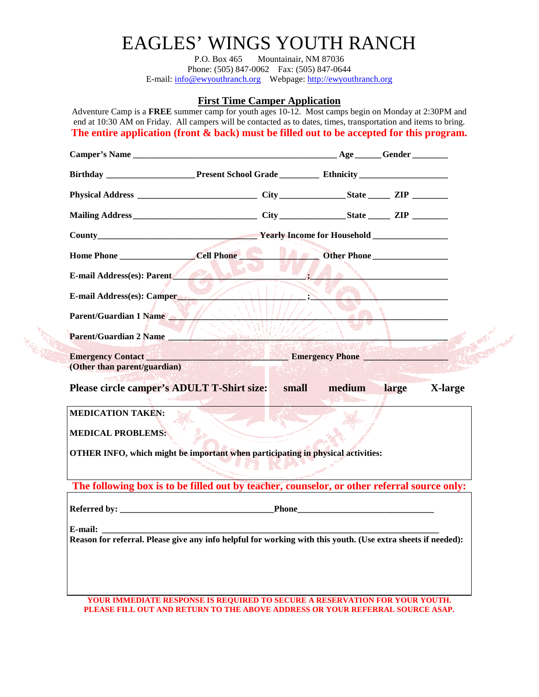# EAGLES' WINGS YOUTH RANCH

Mountainair, NM 87036 Phone: (505) 847-0062 Fax: (505) 847-0644 E-mail: info@ewyouthranch.org Webpage: http://ewyouthranch.org

#### **First Time Camper Application**

Adventure Camp is a **FREE** summer camp for youth ages 10-12. Most camps begin on Monday at 2:30PM and end at 10:30 AM on Friday. All campers will be contacted as to dates, times, transportation and items to bring. **The entire application (front & back) must be filled out to be accepted for this program.**

| E-mail Address(es): Parent                                                                                                                                                                                                           |                                  |       |         |
|--------------------------------------------------------------------------------------------------------------------------------------------------------------------------------------------------------------------------------------|----------------------------------|-------|---------|
| E-mail Address(es): Camper                                                                                                                                                                                                           | $\mathcal{F} \subset \mathbb{R}$ |       |         |
| Parent/Guardian 1 Name                                                                                                                                                                                                               |                                  |       |         |
| Parent/Guardian 2 Name // <b>Contract Contract of the Contract of the Contract of the Contract of the Contract of the Contract of the Contract of the Contract of the Contract of the Contract of the Contract of the Contract o</b> |                                  |       |         |
| (Other than parent/guardian)                                                                                                                                                                                                         |                                  |       |         |
| Please circle camper's ADULT T-Shirt size: small                                                                                                                                                                                     | medium                           | large | X-large |
| <b>MEDICATION TAKEN:</b>                                                                                                                                                                                                             |                                  |       |         |
| <b>MEDICAL PROBLEMS:</b>                                                                                                                                                                                                             |                                  |       |         |
| OTHER INFO, which might be important when participating in physical activities:                                                                                                                                                      |                                  |       |         |
| The following box is to be filled out by teacher, counselor, or other referral source only:                                                                                                                                          |                                  |       |         |
| Referred by: Phone                                                                                                                                                                                                                   |                                  |       |         |
| E-mail:<br>Reason for referral. Please give any info helpful for working with this youth. (Use extra sheets if needed):                                                                                                              |                                  |       |         |

#### **YOUR IMMEDIATE RESPONSE IS REQUIRED TO SECURE A RESERVATION FOR YOUR YOUTH. PLEASE FILL OUT AND RETURN TO THE ABOVE ADDRESS OR YOUR REFERRAL SOURCE ASAP.**